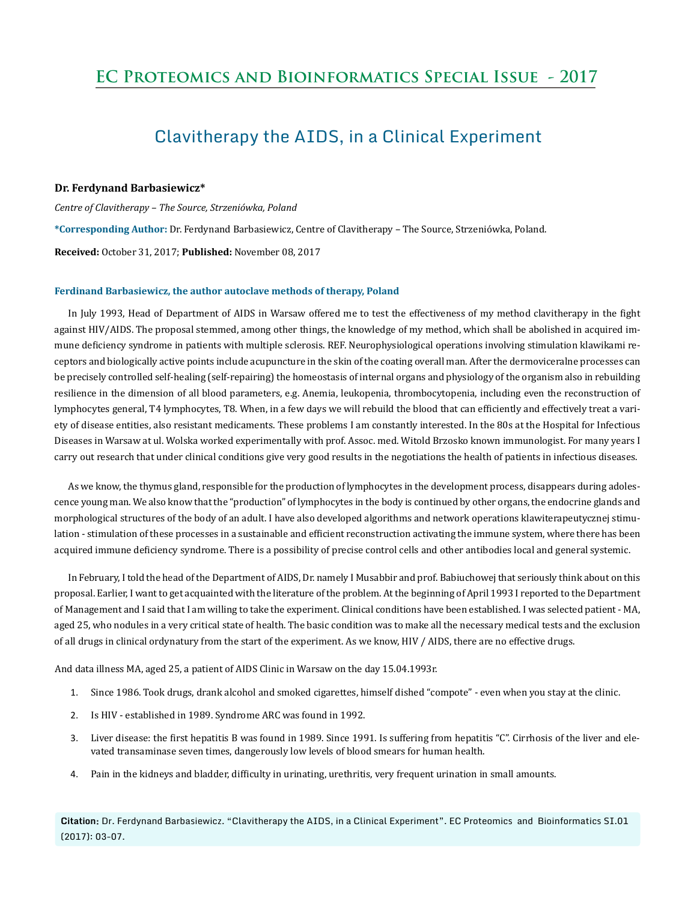## **EC Proteomics and Bioinformatics Special Issue - 2017**

# Clavitherapy the AIDS, in a Clinical Experiment

## **Dr. Ferdynand Barbasiewicz\***

*Centre of Clavitherapy – The Source, Strzeniówka, Poland*  **\*Corresponding Author:** Dr. Ferdynand Barbasiewicz, Centre of Clavitherapy – The Source, Strzeniówka, Poland. **Received:** October 31, 2017; **Published:** November 08, 2017

#### **Ferdinand Barbasiewicz, the author autoclave methods of therapy, Poland**

In July 1993, Head of Department of AIDS in Warsaw offered me to test the effectiveness of my method clavitherapy in the fight against HIV/AIDS. The proposal stemmed, among other things, the knowledge of my method, which shall be abolished in acquired immune deficiency syndrome in patients with multiple sclerosis. REF. Neurophysiological operations involving stimulation klawikami receptors and biologically active points include acupuncture in the skin of the coating overall man. After the dermoviceralne processes can be precisely controlled self-healing (self-repairing) the homeostasis of internal organs and physiology of the organism also in rebuilding resilience in the dimension of all blood parameters, e.g. Anemia, leukopenia, thrombocytopenia, including even the reconstruction of lymphocytes general, T4 lymphocytes, T8. When, in a few days we will rebuild the blood that can efficiently and effectively treat a variety of disease entities, also resistant medicaments. These problems I am constantly interested. In the 80s at the Hospital for Infectious Diseases in Warsaw at ul. Wolska worked experimentally with prof. Assoc. med. Witold Brzosko known immunologist. For many years I carry out research that under clinical conditions give very good results in the negotiations the health of patients in infectious diseases.

As we know, the thymus gland, responsible for the production of lymphocytes in the development process, disappears during adolescence young man. We also know that the "production" of lymphocytes in the body is continued by other organs, the endocrine glands and morphological structures of the body of an adult. I have also developed algorithms and network operations klawiterapeutycznej stimulation - stimulation of these processes in a sustainable and efficient reconstruction activating the immune system, where there has been acquired immune deficiency syndrome. There is a possibility of precise control cells and other antibodies local and general systemic.

In February, I told the head of the Department of AIDS, Dr. namely I Musabbir and prof. Babiuchowej that seriously think about on this proposal. Earlier, I want to get acquainted with the literature of the problem. At the beginning of April 1993 I reported to the Department of Management and I said that I am willing to take the experiment. Clinical conditions have been established. I was selected patient - MA, aged 25, who nodules in a very critical state of health. The basic condition was to make all the necessary medical tests and the exclusion of all drugs in clinical ordynatury from the start of the experiment. As we know, HIV / AIDS, there are no effective drugs.

And data illness MA, aged 25, a patient of AIDS Clinic in Warsaw on the day 15.04.1993r.

- 1. Since 1986. Took drugs, drank alcohol and smoked cigarettes, himself dished "compote" even when you stay at the clinic.
- 2. Is HIV established in 1989. Syndrome ARC was found in 1992.
- 3. Liver disease: the first hepatitis B was found in 1989. Since 1991. Is suffering from hepatitis "C". Cirrhosis of the liver and elevated transaminase seven times, dangerously low levels of blood smears for human health.
- 4. Pain in the kidneys and bladder, difficulty in urinating, urethritis, very frequent urination in small amounts.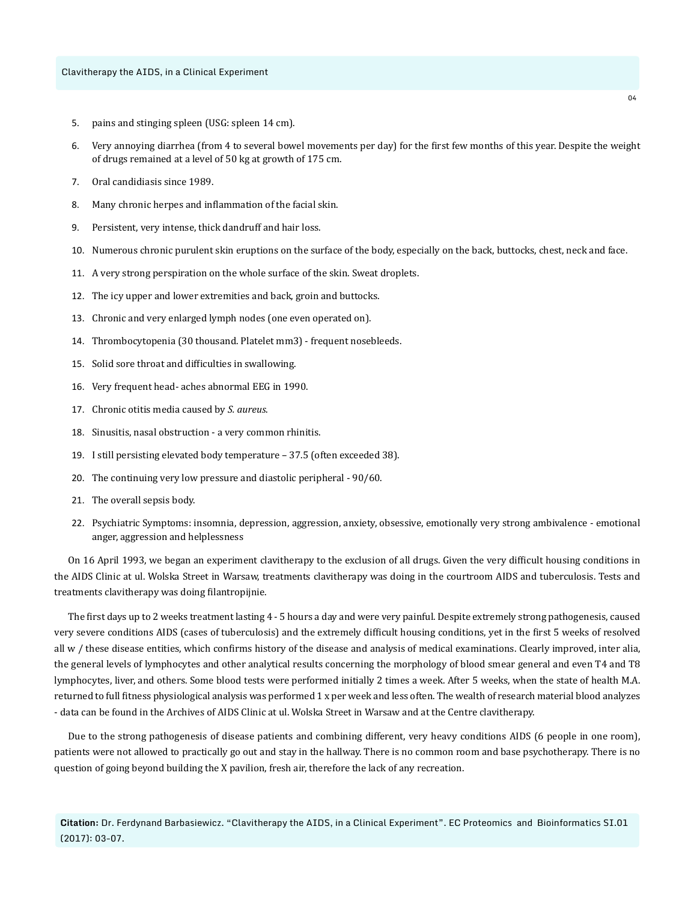- 5. pains and stinging spleen (USG: spleen 14 cm).
- 6. Very annoying diarrhea (from 4 to several bowel movements per day) for the first few months of this year. Despite the weight of drugs remained at a level of 50 kg at growth of 175 cm.
- 7. Oral candidiasis since 1989.
- 8. Many chronic herpes and inflammation of the facial skin.
- 9. Persistent, very intense, thick dandruff and hair loss.
- 10. Numerous chronic purulent skin eruptions on the surface of the body, especially on the back, buttocks, chest, neck and face.
- 11. A very strong perspiration on the whole surface of the skin. Sweat droplets.
- 12. The icy upper and lower extremities and back, groin and buttocks.
- 13. Chronic and very enlarged lymph nodes (one even operated on).
- 14. Thrombocytopenia (30 thousand. Platelet mm3) frequent nosebleeds.
- 15. Solid sore throat and difficulties in swallowing.
- 16. Very frequent head- aches abnormal EEG in 1990.
- 17. Chronic otitis media caused by *S. aureus*.
- 18. Sinusitis, nasal obstruction a very common rhinitis.
- 19. I still persisting elevated body temperature 37.5 (often exceeded 38).
- 20. The continuing very low pressure and diastolic peripheral 90/60.
- 21. The overall sepsis body.
- 22. Psychiatric Symptoms: insomnia, depression, aggression, anxiety, obsessive, emotionally very strong ambivalence emotional anger, aggression and helplessness

On 16 April 1993, we began an experiment clavitherapy to the exclusion of all drugs. Given the very difficult housing conditions in the AIDS Clinic at ul. Wolska Street in Warsaw, treatments clavitherapy was doing in the courtroom AIDS and tuberculosis. Tests and treatments clavitherapy was doing filantropijnie.

The first days up to 2 weeks treatment lasting 4 - 5 hours a day and were very painful. Despite extremely strong pathogenesis, caused very severe conditions AIDS (cases of tuberculosis) and the extremely difficult housing conditions, yet in the first 5 weeks of resolved all w / these disease entities, which confirms history of the disease and analysis of medical examinations. Clearly improved, inter alia, the general levels of lymphocytes and other analytical results concerning the morphology of blood smear general and even T4 and T8 lymphocytes, liver, and others. Some blood tests were performed initially 2 times a week. After 5 weeks, when the state of health M.A. returned to full fitness physiological analysis was performed 1 x per week and less often. The wealth of research material blood analyzes - data can be found in the Archives of AIDS Clinic at ul. Wolska Street in Warsaw and at the Centre clavitherapy.

Due to the strong pathogenesis of disease patients and combining different, very heavy conditions AIDS (6 people in one room), patients were not allowed to practically go out and stay in the hallway. There is no common room and base psychotherapy. There is no question of going beyond building the X pavilion, fresh air, therefore the lack of any recreation.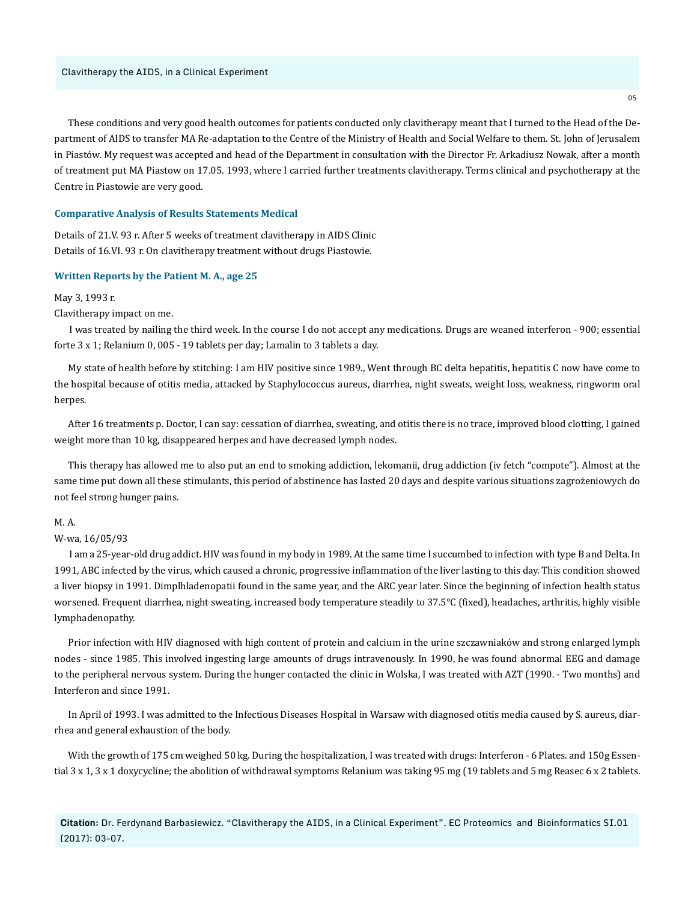These conditions and very good health outcomes for patients conducted only clavitherapy meant that I turned to the Head of the Department of AIDS to transfer MA Re-adaptation to the Centre of the Ministry of Health and Social Welfare to them. St. John of Jerusalem in Piastów. My request was accepted and head of the Department in consultation with the Director Fr. Arkadiusz Nowak, after a month of treatment put MA Piastow on 17.05. 1993, where I carried further treatments clavitherapy. Terms clinical and psychotherapy at the Centre in Piastowie are very good.

## **Comparative Analysis of Results Statements Medical**

Details of 21.V. 93 r. After 5 weeks of treatment clavitherapy in AIDS Clinic Details of 16.VI. 93 r. On clavitherapy treatment without drugs Piastowie.

## **Written Reports by the Patient M. A., age 25**

## May 3, 1993 r.

#### Clavitherapy impact on me.

I was treated by nailing the third week. In the course I do not accept any medications. Drugs are weaned interferon - 900; essential forte 3 x 1; Relanium 0, 005 - 19 tablets per day; Lamalin to 3 tablets a day.

My state of health before by stitching: I am HIV positive since 1989., Went through BC delta hepatitis, hepatitis C now have come to the hospital because of otitis media, attacked by Staphylococcus aureus, diarrhea, night sweats, weight loss, weakness, ringworm oral herpes.

After 16 treatments p. Doctor, I can say: cessation of diarrhea, sweating, and otitis there is no trace, improved blood clotting, I gained weight more than 10 kg, disappeared herpes and have decreased lymph nodes.

This therapy has allowed me to also put an end to smoking addiction, lekomanii, drug addiction (iv fetch "compote"). Almost at the same time put down all these stimulants, this period of abstinence has lasted 20 days and despite various situations zagrożeniowych do not feel strong hunger pains.

## M. A.

## W-wa, 16/05/93

I am a 25-year-old drug addict. HIV was found in my body in 1989. At the same time I succumbed to infection with type B and Delta. In 1991, ABC infected by the virus, which caused a chronic, progressive inflammation of the liver lasting to this day. This condition showed a liver biopsy in 1991. Dimplhladenopatii found in the same year, and the ARC year later. Since the beginning of infection health status worsened. Frequent diarrhea, night sweating, increased body temperature steadily to 37.5°C (fixed), headaches, arthritis, highly visible lymphadenopathy.

Prior infection with HIV diagnosed with high content of protein and calcium in the urine szczawniaków and strong enlarged lymph nodes - since 1985. This involved ingesting large amounts of drugs intravenously. In 1990, he was found abnormal EEG and damage to the peripheral nervous system. During the hunger contacted the clinic in Wolska, I was treated with AZT (1990. - Two months) and Interferon and since 1991.

In April of 1993. I was admitted to the Infectious Diseases Hospital in Warsaw with diagnosed otitis media caused by S. aureus, diarrhea and general exhaustion of the body.

With the growth of 175 cm weighed 50 kg. During the hospitalization, I was treated with drugs: Interferon - 6 Plates. and 150g Essential 3 x 1, 3 x 1 doxycycline; the abolition of withdrawal symptoms Relanium was taking 95 mg (19 tablets and 5 mg Reasec 6 x 2 tablets.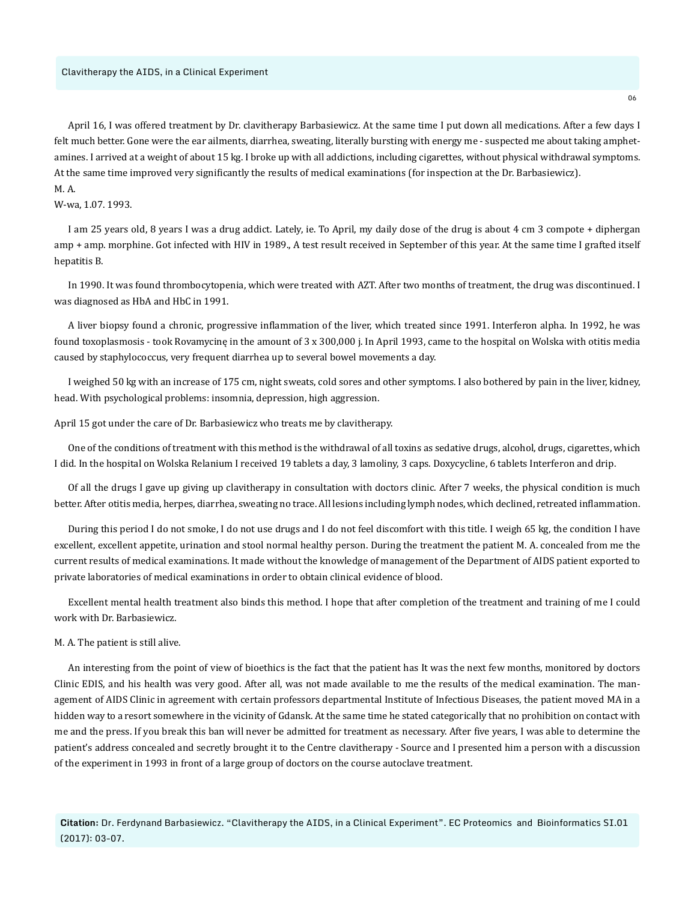April 16, I was offered treatment by Dr. clavitherapy Barbasiewicz. At the same time I put down all medications. After a few days I felt much better. Gone were the ear ailments, diarrhea, sweating, literally bursting with energy me - suspected me about taking amphetamines. I arrived at a weight of about 15 kg. I broke up with all addictions, including cigarettes, without physical withdrawal symptoms. At the same time improved very significantly the results of medical examinations (for inspection at the Dr. Barbasiewicz). M. A.

## W-wa, 1.07. 1993.

I am 25 years old, 8 years I was a drug addict. Lately, ie. To April, my daily dose of the drug is about 4 cm 3 compote + diphergan amp + amp. morphine. Got infected with HIV in 1989., A test result received in September of this year. At the same time I grafted itself hepatitis B.

In 1990. It was found thrombocytopenia, which were treated with AZT. After two months of treatment, the drug was discontinued. I was diagnosed as HbA and HbC in 1991.

A liver biopsy found a chronic, progressive inflammation of the liver, which treated since 1991. Interferon alpha. In 1992, he was found toxoplasmosis - took Rovamycinę in the amount of 3 x 300,000 j. In April 1993, came to the hospital on Wolska with otitis media caused by staphylococcus, very frequent diarrhea up to several bowel movements a day.

I weighed 50 kg with an increase of 175 cm, night sweats, cold sores and other symptoms. I also bothered by pain in the liver, kidney, head. With psychological problems: insomnia, depression, high aggression.

April 15 got under the care of Dr. Barbasiewicz who treats me by clavitherapy.

One of the conditions of treatment with this method is the withdrawal of all toxins as sedative drugs, alcohol, drugs, cigarettes, which I did. In the hospital on Wolska Relanium I received 19 tablets a day, 3 lamoliny, 3 caps. Doxycycline, 6 tablets Interferon and drip.

Of all the drugs I gave up giving up clavitherapy in consultation with doctors clinic. After 7 weeks, the physical condition is much better. After otitis media, herpes, diarrhea, sweating no trace. All lesions including lymph nodes, which declined, retreated inflammation.

During this period I do not smoke, I do not use drugs and I do not feel discomfort with this title. I weigh 65 kg, the condition I have excellent, excellent appetite, urination and stool normal healthy person. During the treatment the patient M. A. concealed from me the current results of medical examinations. It made without the knowledge of management of the Department of AIDS patient exported to private laboratories of medical examinations in order to obtain clinical evidence of blood.

Excellent mental health treatment also binds this method. I hope that after completion of the treatment and training of me I could work with Dr. Barbasiewicz.

## M. A. The patient is still alive.

An interesting from the point of view of bioethics is the fact that the patient has It was the next few months, monitored by doctors Clinic EDIS, and his health was very good. After all, was not made available to me the results of the medical examination. The management of AIDS Clinic in agreement with certain professors departmental Institute of Infectious Diseases, the patient moved MA in a hidden way to a resort somewhere in the vicinity of Gdansk. At the same time he stated categorically that no prohibition on contact with me and the press. If you break this ban will never be admitted for treatment as necessary. After five years, I was able to determine the patient's address concealed and secretly brought it to the Centre clavitherapy - Source and I presented him a person with a discussion of the experiment in 1993 in front of a large group of doctors on the course autoclave treatment.